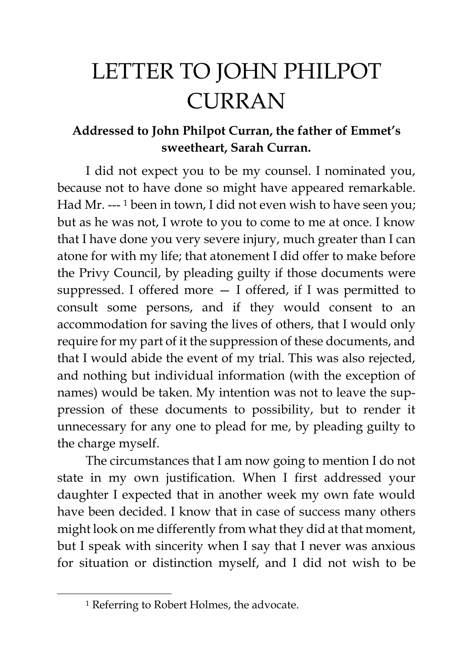## LETTER TO JOHN PHILPOT CURRAN

## **Addressed to John Philpot Curran, the father of Emmet's sweetheart, Sarah Curran.**

I did not expect you to be my counsel. I nominated you, because not to have done so might have appeared remarkable. Had Mr. --- <sup>1</sup> been in town, I did not even wish to have seen you; but as he was not, I wrote to you to come to me at once. I know that I have done you very severe injury, much greater than I can atone for with my life; that atonement I did offer to make before the Privy Council, by pleading guilty if those documents were suppressed. I offered more — I offered, if I was permitted to consult some persons, and if they would consent to an accommodation for saving the lives of others, that I would only require for my part of it the suppression of these documents, and that I would abide the event of my trial. This was also rejected, and nothing but individual information (with the exception of names) would be taken. My intention was not to leave the suppression of these documents to possibility, but to render it unnecessary for any one to plead for me, by pleading guilty to the charge myself.

The circumstances that I am now going to mention I do not state in my own justification. When I first addressed your daughter I expected that in another week my own fate would have been decided. I know that in case of success many others might look on me differently from what they did at that moment, but I speak with sincerity when I say that I never was anxious for situation or distinction myself, and I did not wish to be

<sup>&</sup>lt;sup>1</sup> Referring to Robert Holmes, the advocate.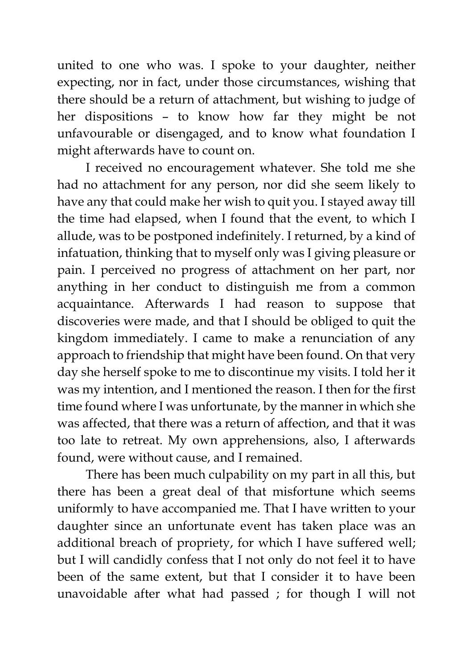united to one who was. I spoke to your daughter, neither expecting, nor in fact, under those circumstances, wishing that there should be a return of attachment, but wishing to judge of her dispositions – to know how far they might be not unfavourable or disengaged, and to know what foundation I might afterwards have to count on.

I received no encouragement whatever. She told me she had no attachment for any person, nor did she seem likely to have any that could make her wish to quit you. I stayed away till the time had elapsed, when I found that the event, to which I allude, was to be postponed indefinitely. I returned, by a kind of infatuation, thinking that to myself only was I giving pleasure or pain. I perceived no progress of attachment on her part, nor anything in her conduct to distinguish me from a common acquaintance. Afterwards I had reason to suppose that discoveries were made, and that I should be obliged to quit the kingdom immediately. I came to make a renunciation of any approach to friendship that might have been found. On that very day she herself spoke to me to discontinue my visits. I told her it was my intention, and I mentioned the reason. I then for the first time found where I was unfortunate, by the manner in which she was affected, that there was a return of affection, and that it was too late to retreat. My own apprehensions, also, I afterwards found, were without cause, and I remained.

There has been much culpability on my part in all this, but there has been a great deal of that misfortune which seems uniformly to have accompanied me. That I have written to your daughter since an unfortunate event has taken place was an additional breach of propriety, for which I have suffered well; but I will candidly confess that I not only do not feel it to have been of the same extent, but that I consider it to have been unavoidable after what had passed ; for though I will not